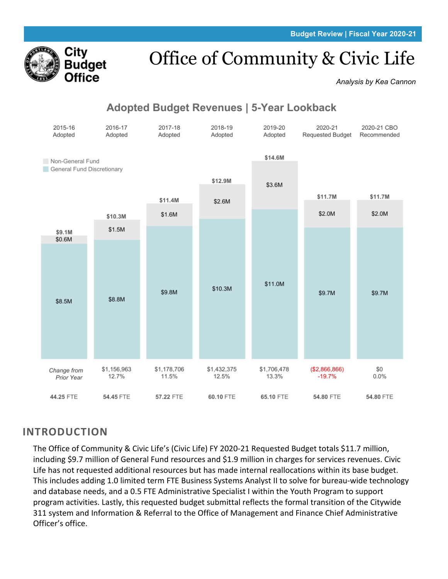

# Office of Community & Civic Life

*Analysis by Kea Cannon*

# **Adopted Budget Revenues | 5-Year Lookback**



## **INTRODUCTION**

The Office of Community & Civic Life's (Civic Life) FY 2020-21 Requested Budget totals \$11.7 million, including \$9.7 million of General Fund resources and \$1.9 million in charges for services revenues. Civic Life has not requested additional resources but has made internal reallocations within its base budget. This includes adding 1.0 limited term FTE Business Systems Analyst II to solve for bureau-wide technology and database needs, and a 0.5 FTE Administrative Specialist I within the Youth Program to support program activities. Lastly, this requested budget submittal reflects the formal transition of the Citywide 311 system and Information & Referral to the Office of Management and Finance Chief Administrative Officer's office.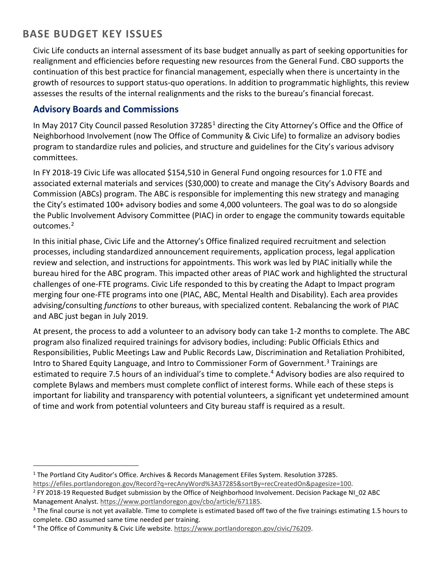# **BASE BUDGET KEY ISSUES**

Civic Life conducts an internal assessment of its base budget annually as part of seeking opportunities for realignment and efficiencies before requesting new resources from the General Fund. CBO supports the continuation of this best practice for financial management, especially when there is uncertainty in the growth of resources to support status-quo operations. In addition to programmatic highlights, this review assesses the results of the internal realignments and the risks to the bureau's financial forecast.

## **Advisory Boards and Commissions**

In May 20[1](#page-1-0)7 City Council passed Resolution 37285<sup>1</sup> directing the City Attorney's Office and the Office of Neighborhood Involvement (now The Office of Community & Civic Life) to formalize an advisory bodies program to standardize rules and policies, and structure and guidelines for the City's various advisory committees.

In FY 2018-19 Civic Life was allocated \$154,510 in General Fund ongoing resources for 1.0 FTE and associated external materials and services (\$30,000) to create and manage the City's Advisory Boards and Commission (ABCs) program. The ABC is responsible for implementing this new strategy and managing the City's estimated 100+ advisory bodies and some 4,000 volunteers. The goal was to do so alongside the Public Involvement Advisory Committee (PIAC) in order to engage the community towards equitable outcomes.<sup>[2](#page-1-1)</sup>

In this initial phase, Civic Life and the Attorney's Office finalized required recruitment and selection processes, including standardized announcement requirements, application process, legal application review and selection, and instructions for appointments. This work was led by PIAC initially while the bureau hired for the ABC program. This impacted other areas of PIAC work and highlighted the structural challenges of one-FTE programs. Civic Life responded to this by creating the Adapt to Impact program merging four one-FTE programs into one (PIAC, ABC, Mental Health and Disability). Each area provides advising/consulting *functions* to other bureaus, with specialized content. Rebalancing the work of PIAC and ABC just began in July 2019.

At present, the process to add a volunteer to an advisory body can take 1-2 months to complete. The ABC program also finalized required trainings for advisory bodies, including: Public Officials Ethics and Responsibilities, Public Meetings Law and Public Records Law, Discrimination and Retaliation Prohibited, Intro to Shared Equity Language, and Intro to Commissioner Form of Government. [3](#page-1-2) Trainings are estimated to require 7.5 hours of an individual's time to complete.<sup>[4](#page-1-3)</sup> Advisory bodies are also required to complete Bylaws and members must complete conflict of interest forms. While each of these steps is important for liability and transparency with potential volunteers, a significant yet undetermined amount of time and work from potential volunteers and City bureau staff is required as a result.

<span id="page-1-0"></span><sup>&</sup>lt;sup>1</sup> The Portland City Auditor's Office. Archives & Records Management EFiles System. Resolution 37285.

[https://efiles.portlandoregon.gov/Record?q=recAnyWord%3A37285&sortBy=recCreatedOn&pagesize=100.](https://efiles.portlandoregon.gov/Record?q=recAnyWord%3A37285&sortBy=recCreatedOn&pagesize=100)

<span id="page-1-1"></span><sup>&</sup>lt;sup>2</sup> FY 2018-19 Requested Budget submission by the Office of Neighborhood Involvement. Decision Package NI\_02 ABC Management Analyst. [https://www.portlandoregon.gov/cbo/article/671185.](https://www.portlandoregon.gov/cbo/article/671185)<br><sup>3</sup> The final course is not yet available. Time to complete is estimated based off two of the five trainings estimating 1.5 hours to

<span id="page-1-2"></span>complete. CBO assumed same time needed per training.<br><sup>4</sup> The Office of Community & Civic Life website. https://www.portlandoregon.gov/civic/76209.

<span id="page-1-3"></span>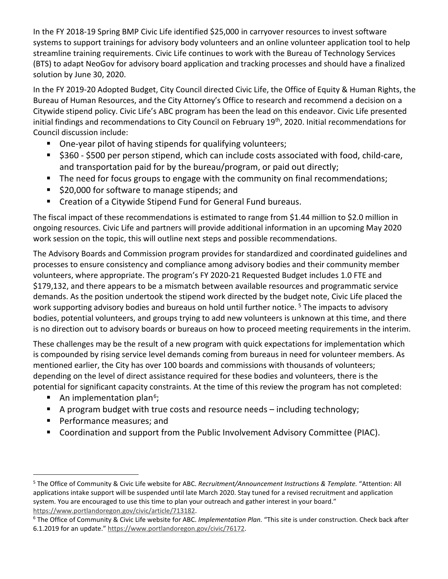In the FY 2018-19 Spring BMP Civic Life identified \$25,000 in carryover resources to invest software systems to support trainings for advisory body volunteers and an online volunteer application tool to help streamline training requirements. Civic Life continues to work with the Bureau of Technology Services (BTS) to adapt NeoGov for advisory board application and tracking processes and should have a finalized solution by June 30, 2020.

In the FY 2019-20 Adopted Budget, City Council directed Civic Life, the Office of Equity & Human Rights, the Bureau of Human Resources, and the City Attorney's Office to research and recommend a decision on a Citywide stipend policy. Civic Life's ABC program has been the lead on this endeavor. Civic Life presented initial findings and recommendations to City Council on February 19<sup>th</sup>, 2020. Initial recommendations for Council discussion include:

- One-year pilot of having stipends for qualifying volunteers;
- \$360 \$500 per person stipend, which can include costs associated with food, child-care, and transportation paid for by the bureau/program, or paid out directly;
- The need for focus groups to engage with the community on final recommendations;
- **520,000 for software to manage stipends; and**
- **EXTER** Creation of a Citywide Stipend Fund for General Fund bureaus.

The fiscal impact of these recommendations is estimated to range from \$1.44 million to \$2.0 million in ongoing resources. Civic Life and partners will provide additional information in an upcoming May 2020 work session on the topic, this will outline next steps and possible recommendations.

The Advisory Boards and Commission program provides for standardized and coordinated guidelines and processes to ensure consistency and compliance among advisory bodies and their community member volunteers, where appropriate. The program's FY 2020-21 Requested Budget includes 1.0 FTE and \$179,132, and there appears to be a mismatch between available resources and programmatic service demands. As the position undertook the stipend work directed by the budget note, Civic Life placed the work supporting advisory bodies and bureaus on hold until further notice.<sup>[5](#page-2-0)</sup> The impacts to advisory bodies, potential volunteers, and groups trying to add new volunteers is unknown at this time, and there is no direction out to advisory boards or bureaus on how to proceed meeting requirements in the interim.

These challenges may be the result of a new program with quick expectations for implementation which is compounded by rising service level demands coming from bureaus in need for volunteer members. As mentioned earlier, the City has over 100 boards and commissions with thousands of volunteers; depending on the level of direct assistance required for these bodies and volunteers, there is the potential for significant capacity constraints. At the time of this review the program has not completed:

- An implementation plan<sup>6</sup>;
- A program budget with true costs and resource needs including technology;
- **Performance measures; and**
- Coordination and support from the Public Involvement Advisory Committee (PIAC).

<span id="page-2-0"></span><sup>5</sup> The Office of Community & Civic Life website for ABC. *Recruitment/Announcement Instructions & Template.* "Attention: All applications intake support will be suspended until late March 2020. Stay tuned for a revised recruitment and application system. You are encouraged to use this time to plan your outreach and gather interest in your board." [https://www.portlandoregon.gov/civic/article/713182.](https://www.portlandoregon.gov/civic/article/713182)<br><sup>6</sup> The Office of Community & Civic Life website for ABC. *Implementation Plan.* "This site is under construction. Check back after

<span id="page-2-1"></span><sup>6.1.2019</sup> for an update.[" https://www.portlandoregon.gov/civic/76172.](https://www.portlandoregon.gov/civic/76172)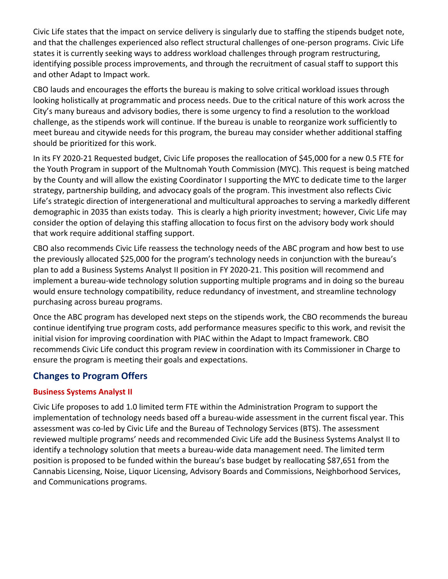Civic Life states that the impact on service delivery is singularly due to staffing the stipends budget note, and that the challenges experienced also reflect structural challenges of one-person programs. Civic Life states it is currently seeking ways to address workload challenges through program restructuring, identifying possible process improvements, and through the recruitment of casual staff to support this and other Adapt to Impact work.

CBO lauds and encourages the efforts the bureau is making to solve critical workload issues through looking holistically at programmatic and process needs. Due to the critical nature of this work across the City's many bureaus and advisory bodies, there is some urgency to find a resolution to the workload challenge, as the stipends work will continue. If the bureau is unable to reorganize work sufficiently to meet bureau and citywide needs for this program, the bureau may consider whether additional staffing should be prioritized for this work.

In its FY 2020-21 Requested budget, Civic Life proposes the reallocation of \$45,000 for a new 0.5 FTE for the Youth Program in support of the Multnomah Youth Commission (MYC). This request is being matched by the County and will allow the existing Coordinator I supporting the MYC to dedicate time to the larger strategy, partnership building, and advocacy goals of the program. This investment also reflects Civic Life's strategic direction of intergenerational and multicultural approaches to serving a markedly different demographic in 2035 than exists today. This is clearly a high priority investment; however, Civic Life may consider the option of delaying this staffing allocation to focus first on the advisory body work should that work require additional staffing support.

CBO also recommends Civic Life reassess the technology needs of the ABC program and how best to use the previously allocated \$25,000 for the program's technology needs in conjunction with the bureau's plan to add a Business Systems Analyst II position in FY 2020-21. This position will recommend and implement a bureau-wide technology solution supporting multiple programs and in doing so the bureau would ensure technology compatibility, reduce redundancy of investment, and streamline technology purchasing across bureau programs.

Once the ABC program has developed next steps on the stipends work, the CBO recommends the bureau continue identifying true program costs, add performance measures specific to this work, and revisit the initial vision for improving coordination with PIAC within the Adapt to Impact framework. CBO recommends Civic Life conduct this program review in coordination with its Commissioner in Charge to ensure the program is meeting their goals and expectations.

### **Changes to Program Offers**

#### **Business Systems Analyst II**

Civic Life proposes to add 1.0 limited term FTE within the Administration Program to support the implementation of technology needs based off a bureau-wide assessment in the current fiscal year. This assessment was co-led by Civic Life and the Bureau of Technology Services (BTS). The assessment reviewed multiple programs' needs and recommended Civic Life add the Business Systems Analyst II to identify a technology solution that meets a bureau-wide data management need. The limited term position is proposed to be funded within the bureau's base budget by reallocating \$87,651 from the Cannabis Licensing, Noise, Liquor Licensing, Advisory Boards and Commissions, Neighborhood Services, and Communications programs.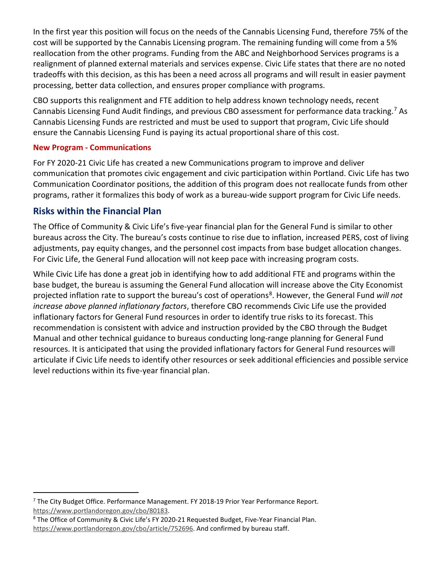In the first year this position will focus on the needs of the Cannabis Licensing Fund, therefore 75% of the cost will be supported by the Cannabis Licensing program. The remaining funding will come from a 5% reallocation from the other programs. Funding from the ABC and Neighborhood Services programs is a realignment of planned external materials and services expense. Civic Life states that there are no noted tradeoffs with this decision, as this has been a need across all programs and will result in easier payment processing, better data collection, and ensures proper compliance with programs.

CBO supports this realignment and FTE addition to help address known technology needs, recent Cannabis Licensing Fund Audit findings, and previous CBO assessment for performance data tracking.<sup>[7](#page-4-0)</sup> As Cannabis Licensing Funds are restricted and must be used to support that program, Civic Life should ensure the Cannabis Licensing Fund is paying its actual proportional share of this cost.

#### **New Program - Communications**

For FY 2020-21 Civic Life has created a new Communications program to improve and deliver communication that promotes civic engagement and civic participation within Portland. Civic Life has two Communication Coordinator positions, the addition of this program does not reallocate funds from other programs, rather it formalizes this body of work as a bureau-wide support program for Civic Life needs.

#### **Risks within the Financial Plan**

The Office of Community & Civic Life's five-year financial plan for the General Fund is similar to other bureaus across the City. The bureau's costs continue to rise due to inflation, increased PERS, cost of living adjustments, pay equity changes, and the personnel cost impacts from base budget allocation changes. For Civic Life, the General Fund allocation will not keep pace with increasing program costs.

While Civic Life has done a great job in identifying how to add additional FTE and programs within the base budget, the bureau is assuming the General Fund allocation will increase above the City Economist projected inflation rate to support the bureau's cost of operations<sup>[8](#page-4-1)</sup>. However, the General Fund *will not increase above planned inflationary factors*, therefore CBO recommends Civic Life use the provided inflationary factors for General Fund resources in order to identify true risks to its forecast. This recommendation is consistent with advice and instruction provided by the CBO through the Budget Manual and other technical guidance to bureaus conducting long-range planning for General Fund resources. It is anticipated that using the provided inflationary factors for General Fund resources will articulate if Civic Life needs to identify other resources or seek additional efficiencies and possible service level reductions within its five-year financial plan.

<span id="page-4-0"></span><sup>&</sup>lt;sup>7</sup> The City Budget Office. Performance Management. FY 2018-19 Prior Year Performance Report. [https://www.portlandoregon.gov/cbo/80183.](https://www.portlandoregon.gov/cbo/80183)

<span id="page-4-1"></span><sup>8</sup> The Office of Community & Civic Life's FY 2020-21 Requested Budget, Five-Year Financial Plan. [https://www.portlandoregon.gov/cbo/article/752696.](https://www.portlandoregon.gov/cbo/article/752696) And confirmed by bureau staff.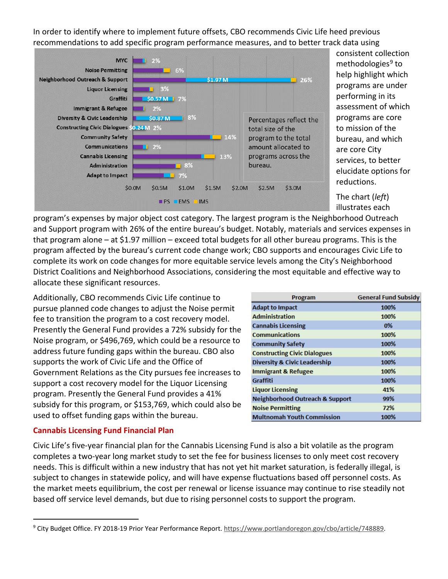In order to identify where to implement future offsets, CBO recommends Civic Life heed previous recommendations to add specific program performance measures, and to better track data using



consistent collection methodologies $9$  to help highlight which programs are under performing in its assessment of which programs are core to mission of the bureau, and which are core City services, to better elucidate options for reductions.

The chart (*left*) illustrates each

**General Fund Subsidy** 

program's expenses by major object cost category. The largest program is the Neighborhood Outreach and Support program with 26% of the entire bureau's budget. Notably, materials and services expenses in that program alone – at \$1.97 million – exceed total budgets for all other bureau programs. This is the program affected by the bureau's current code change work; CBO supports and encourages Civic Life to complete its work on code changes for more equitable service levels among the City's Neighborhood District Coalitions and Neighborhood Associations, considering the most equitable and effective way to allocate these significant resources.

Additionally, CBO recommends Civic Life continue to pursue planned code changes to adjust the Noise permit fee to transition the program to a cost recovery model. Presently the General Fund provides a 72% subsidy for the Noise program, or \$496,769, which could be a resource to address future funding gaps within the bureau. CBO also supports the work of Civic Life and the Office of Government Relations as the City pursues fee increases to support a cost recovery model for the Liquor Licensing program. Presently the General Fund provides a 41% subsidy for this program, or \$153,769, which could also be used to offset funding gaps within the bureau.

| <b>Adapt to Impact</b>                     | 100% |
|--------------------------------------------|------|
| <b>Administration</b>                      | 100% |
| <b>Cannabis Licensing</b>                  | 0%   |
| <b>Communications</b>                      | 100% |
| <b>Community Safety</b>                    | 100% |
| <b>Constructing Civic Dialogues</b>        | 100% |
| <b>Diversity &amp; Civic Leadership</b>    | 100% |
| <b>Immigrant &amp; Refugee</b>             | 100% |
| Graffiti                                   | 100% |
| <b>Liquor Licensing</b>                    | 41%  |
| <b>Neighborhood Outreach &amp; Support</b> | 99%  |
| <b>Noise Permitting</b>                    | 72%  |
| <b>Multnomah Youth Commission</b>          | 100% |

Program

#### **Cannabis Licensing Fund Financial Plan**

Civic Life's five-year financial plan for the Cannabis Licensing Fund is also a bit volatile as the program completes a two-year long market study to set the fee for business licenses to only meet cost recovery needs. This is difficult within a new industry that has not yet hit market saturation, is federally illegal, is subject to changes in statewide policy, and will have expense fluctuations based off personnel costs. As the market meets equilibrium, the cost per renewal or license issuance may continue to rise steadily not based off service level demands, but due to rising personnel costs to support the program.

<span id="page-5-0"></span><sup>9</sup> City Budget Office. FY 2018-19 Prior Year Performance Report. [https://www.portlandoregon.gov/cbo/article/748889.](https://www.portlandoregon.gov/cbo/article/748889)